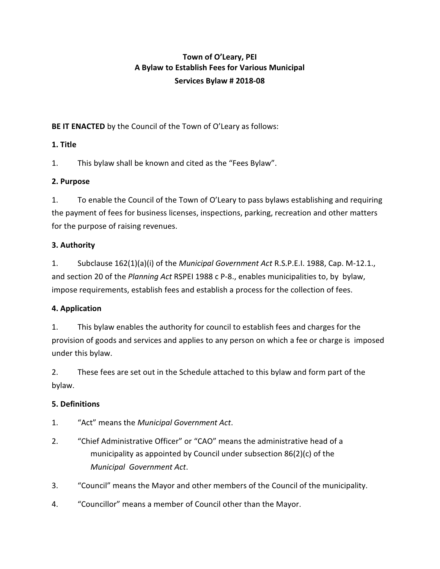# **Town of O'Leary, PEI A Bylaw to Establish Fees for Various Municipal Services Bylaw # 2018-08**

**BE IT ENACTED** by the Council of the Town of O'Leary as follows:

## **1. Title**

1. This bylaw shall be known and cited as the "Fees Bylaw".

## **2. Purpose**

1. To enable the Council of the Town of O'Leary to pass bylaws establishing and requiring the payment of fees for business licenses, inspections, parking, recreation and other matters for the purpose of raising revenues.

## **3. Authority**

1. Subclause 162(1)(a)(i) of the *Municipal Government Act* R.S.P.E.I. 1988, Cap. M-12.1., and section 20 of the *Planning Act* RSPEI 1988 c P-8., enables municipalities to, by bylaw, impose requirements, establish fees and establish a process for the collection of fees.

# **4. Application**

1. This bylaw enables the authority for council to establish fees and charges for the provision of goods and services and applies to any person on which a fee or charge is imposed under this bylaw.

2. These fees are set out in the Schedule attached to this bylaw and form part of the bylaw.

# **5. Definitions**

- 1. "Act" means the *Municipal Government Act*.
- 2. "Chief Administrative Officer" or "CAO" means the administrative head of a municipality as appointed by Council under subsection 86(2)(c) of the *Municipal Government Act*.
- 3. "Council" means the Mayor and other members of the Council of the municipality.
- 4. "Councillor" means a member of Council other than the Mayor.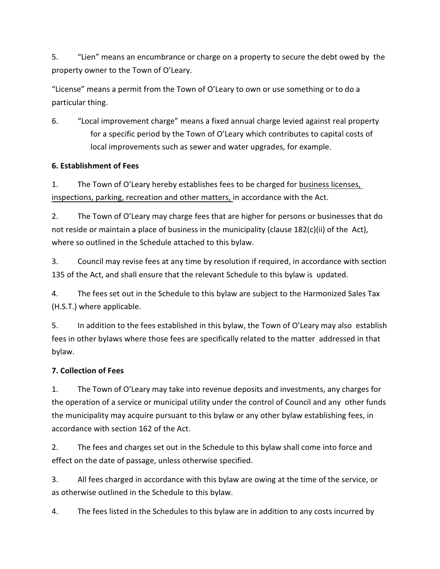5. "Lien" means an encumbrance or charge on a property to secure the debt owed by the property owner to the Town of O'Leary.

"License" means a permit from the Town of O'Leary to own or use something or to do a particular thing.

6. "Local improvement charge" means a fixed annual charge levied against real property for a specific period by the Town of O'Leary which contributes to capital costs of local improvements such as sewer and water upgrades, for example.

#### **6. Establishment of Fees**

1. The Town of O'Leary hereby establishes fees to be charged for business licenses, inspections, parking, recreation and other matters, in accordance with the Act.

2. The Town of O'Leary may charge fees that are higher for persons or businesses that do not reside or maintain a place of business in the municipality (clause 182(c)(ii) of the Act), where so outlined in the Schedule attached to this bylaw.

3. Council may revise fees at any time by resolution if required, in accordance with section 135 of the Act, and shall ensure that the relevant Schedule to this bylaw is updated.

4. The fees set out in the Schedule to this bylaw are subject to the Harmonized Sales Tax (H.S.T.) where applicable.

5. In addition to the fees established in this bylaw, the Town of O'Leary may also establish fees in other bylaws where those fees are specifically related to the matter addressed in that bylaw.

### **7. Collection of Fees**

1. The Town of O'Leary may take into revenue deposits and investments, any charges for the operation of a service or municipal utility under the control of Council and any other funds the municipality may acquire pursuant to this bylaw or any other bylaw establishing fees, in accordance with section 162 of the Act.

2. The fees and charges set out in the Schedule to this bylaw shall come into force and effect on the date of passage, unless otherwise specified.

3. All fees charged in accordance with this bylaw are owing at the time of the service, or as otherwise outlined in the Schedule to this bylaw.

4. The fees listed in the Schedules to this bylaw are in addition to any costs incurred by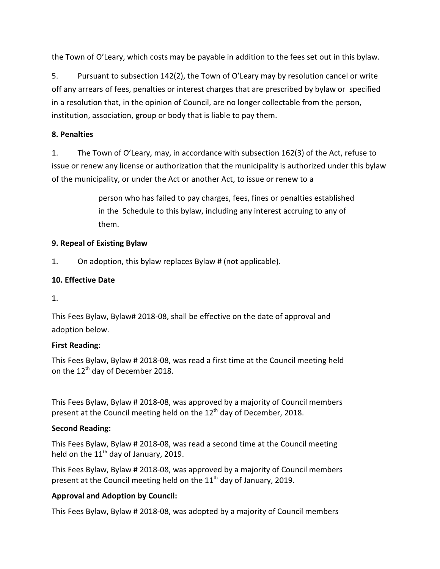the Town of O'Leary, which costs may be payable in addition to the fees set out in this bylaw.

5. Pursuant to subsection 142(2), the Town of O'Leary may by resolution cancel or write off any arrears of fees, penalties or interest charges that are prescribed by bylaw or specified in a resolution that, in the opinion of Council, are no longer collectable from the person, institution, association, group or body that is liable to pay them.

#### **8. Penalties**

1. The Town of O'Leary, may, in accordance with subsection 162(3) of the Act, refuse to issue or renew any license or authorization that the municipality is authorized under this bylaw of the municipality, or under the Act or another Act, to issue or renew to a

> person who has failed to pay charges, fees, fines or penalties established in the Schedule to this bylaw, including any interest accruing to any of them.

#### **9. Repeal of Existing Bylaw**

1. On adoption, this bylaw replaces Bylaw # (not applicable).

### **10. Effective Date**

1.

This Fees Bylaw, Bylaw# 2018-08, shall be effective on the date of approval and adoption below.

#### **First Reading:**

This Fees Bylaw, Bylaw # 2018-08, was read a first time at the Council meeting held on the 12<sup>th</sup> day of December 2018.

This Fees Bylaw, Bylaw # 2018-08, was approved by a majority of Council members present at the Council meeting held on the  $12^{\text{th}}$  day of December, 2018.

### **Second Reading:**

This Fees Bylaw, Bylaw # 2018-08, was read a second time at the Council meeting held on the  $11<sup>th</sup>$  day of January, 2019.

This Fees Bylaw, Bylaw # 2018-08, was approved by a majority of Council members present at the Council meeting held on the  $11<sup>th</sup>$  day of January, 2019.

### **Approval and Adoption by Council:**

This Fees Bylaw, Bylaw # 2018-08, was adopted by a majority of Council members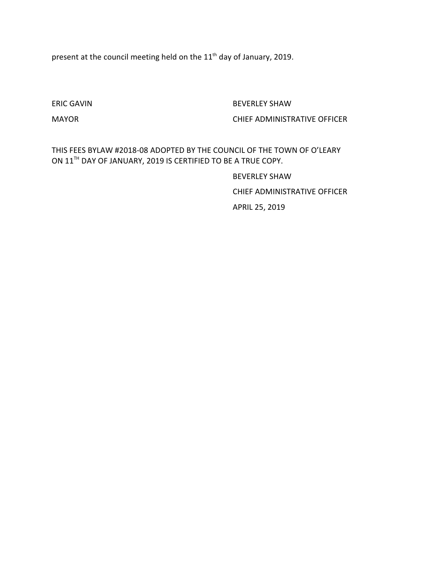present at the council meeting held on the  $11<sup>th</sup>$  day of January, 2019.

ERIC GAVIN BEVERLEY SHAW

#### MAYOR CHIEF ADMINISTRATIVE OFFICER

THIS FEES BYLAW #2018-08 ADOPTED BY THE COUNCIL OF THE TOWN OF O'LEARY ON  $11^{\text{TH}}$  DAY OF JANUARY, 2019 IS CERTIFIED TO BE A TRUE COPY.

> BEVERLEY SHAW CHIEF ADMINISTRATIVE OFFICER APRIL 25, 2019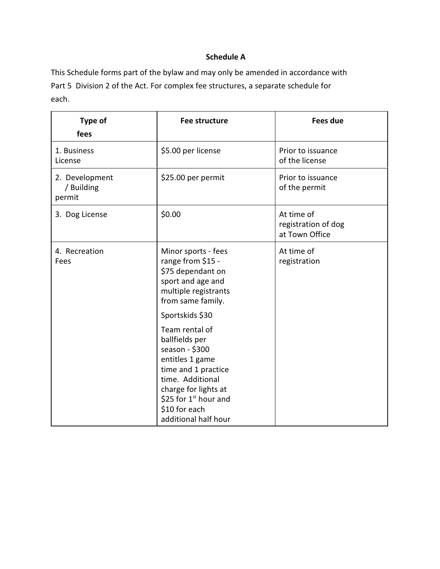# **Schedule A**

This Schedule forms part of the bylaw and may only be amended in accordance with Part 5 Division 2 of the Act. For complex fee structures, a separate schedule for each.

| Type of<br>fees                        | Fee structure                                                                                                                                                                                                | <b>Fees due</b>                                     |
|----------------------------------------|--------------------------------------------------------------------------------------------------------------------------------------------------------------------------------------------------------------|-----------------------------------------------------|
| 1. Business<br>License                 | \$5.00 per license                                                                                                                                                                                           | Prior to issuance<br>of the license                 |
| 2. Development<br>/ Building<br>permit | \$25.00 per permit                                                                                                                                                                                           | Prior to issuance<br>of the permit                  |
| 3. Dog License                         | \$0.00                                                                                                                                                                                                       | At time of<br>registration of dog<br>at Town Office |
| 4. Recreation<br>Fees                  | Minor sports - fees<br>range from \$15 -<br>\$75 dependant on<br>sport and age and<br>multiple registrants<br>from same family.<br>Sportskids \$30                                                           | At time of<br>registration                          |
|                                        | Team rental of<br>ballfields per<br>season - \$300<br>entitles 1 game<br>time and 1 practice<br>time. Additional<br>charge for lights at<br>\$25 for $1st$ hour and<br>\$10 for each<br>additional half hour |                                                     |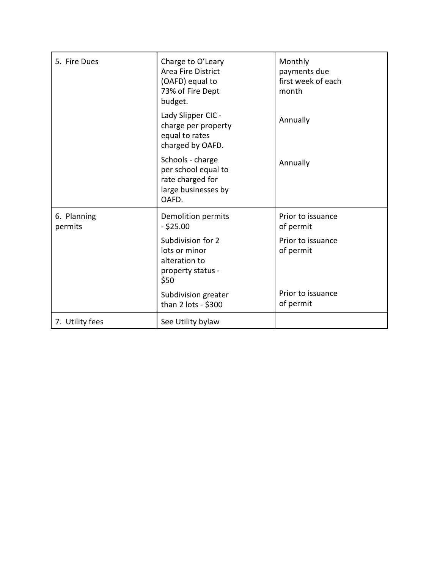| 5. Fire Dues           | Charge to O'Leary<br><b>Area Fire District</b><br>(OAFD) equal to<br>73% of Fire Dept<br>budget. | Monthly<br>payments due<br>first week of each<br>month |
|------------------------|--------------------------------------------------------------------------------------------------|--------------------------------------------------------|
|                        | Lady Slipper CIC -<br>charge per property<br>equal to rates<br>charged by OAFD.                  | Annually                                               |
|                        | Schools - charge<br>per school equal to<br>rate charged for<br>large businesses by<br>OAFD.      | Annually                                               |
| 6. Planning<br>permits | Demolition permits<br>$-$ \$25.00                                                                | Prior to issuance<br>of permit                         |
|                        | Subdivision for 2<br>lots or minor<br>alteration to<br>property status -<br>\$50                 | Prior to issuance<br>of permit                         |
|                        | Subdivision greater<br>than 2 lots - \$300                                                       | Prior to issuance<br>of permit                         |
| 7. Utility fees        | See Utility bylaw                                                                                |                                                        |